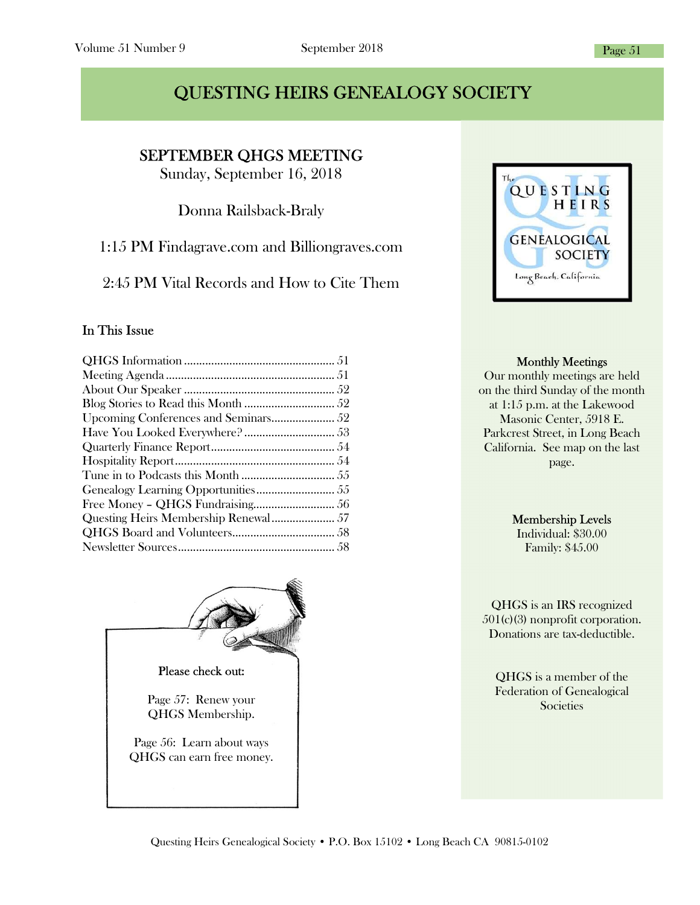# QUESTING HEIRS GENEALOGY SOCIETY

SEPTEMBER QHGS MEETING

I

Sunday, September 16, 2018

Donna Railsback-Braly

1:15 PM Findagrave.com and Billiongraves.com

2:45 PM Vital Records and How to Cite Them

#### In This Issue





#### Monthly Meetings

Our monthly meetings are held on the third Sunday of the month at 1:15 p.m. at the Lakewood Masonic Center, 5918 E. Parkcrest Street, in Long Beach California. See map on the last page.

#### Membership Levels

Individual: \$30.00 Family: \$45.00

QHGS is an IRS recognized 501(c)(3) nonprofit corporation. Donations are tax-deductible.

QHGS is a member of the Federation of Genealogical Societies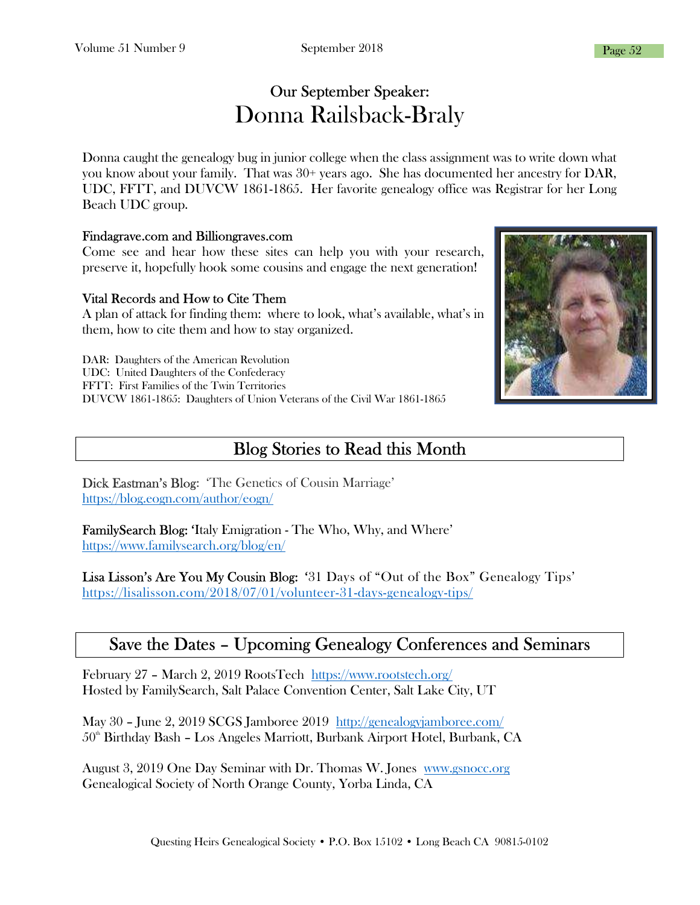# Our September Speaker: Donna Railsback-Braly

Donna caught the genealogy bug in junior college when the class assignment was to write down what you know about your family. That was 30+ years ago. She has documented her ancestry for DAR, UDC, FFTT, and DUVCW 1861-1865. Her favorite genealogy office was Registrar for her Long Beach UDC group.

#### Findagrave.com and Billiongraves.com

Come see and hear how these sites can help you with your research, preserve it, hopefully hook some cousins and engage the next generation!

#### Vital Records and How to Cite Them

A plan of attack for finding them: where to look, what's available, what's in them, how to cite them and how to stay organized.

DAR: Daughters of the American Revolution UDC: United Daughters of the Confederacy FFTT: First Families of the Twin Territories DUVCW 1861-1865: Daughters of Union Veterans of the Civil War 1861-1865

# Blog Stories to Read this Month

Dick Eastman's Blog: 'The Genetics of Cousin Marriage' https://blog.eogn.com/author/eogn/

FamilySearch Blog: 'Italy Emigration - The Who, Why, and Where' https://www.familysearch.org/blog/en/

Lisa Lisson's Are You My Cousin Blog: '31 Days of "Out of the Box" Genealogy Tips' https://lisalisson.com/2018/07/01/volunteer-31-days-genealogy-tips/

### Save the Dates – Upcoming Genealogy Conferences and Seminars

February 27 – March 2, 2019 RootsTech https://www.rootstech.org/ Hosted by FamilySearch, Salt Palace Convention Center, Salt Lake City, UT

May 30 – June 2, 2019 SCGS Jamboree 2019 http://genealogyjamboree.com/  $50<sup>th</sup>$  Birthday Bash – Los Angeles Marriott, Burbank Airport Hotel, Burbank, CA

August 3, 2019 One Day Seminar with Dr. Thomas W. Jones www.gsnocc.org Genealogical Society of North Orange County, Yorba Linda, CA

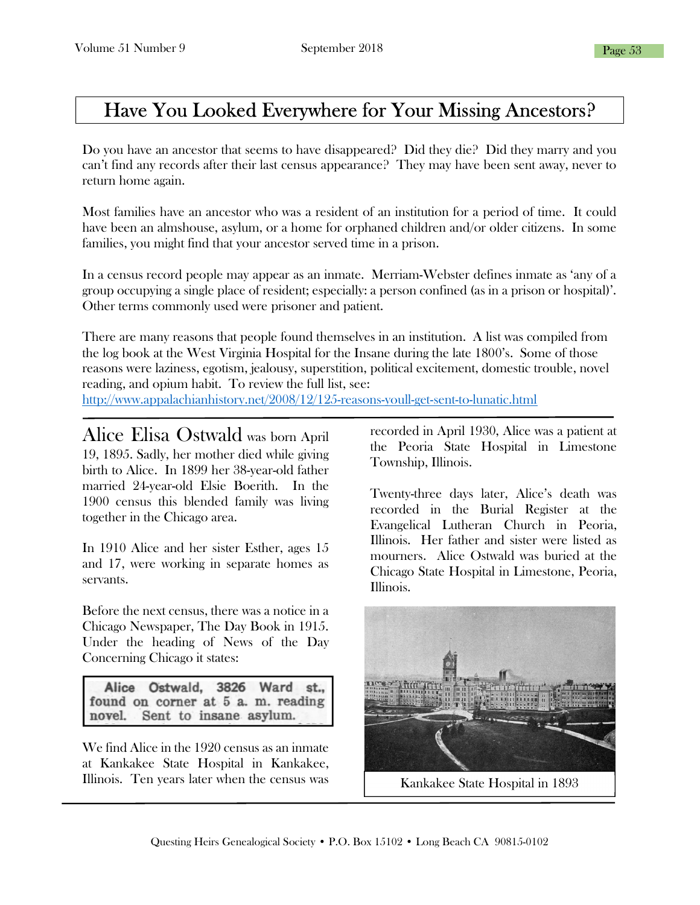# Have You Looked Everywhere for Your Missing Ancestors?

Do you have an ancestor that seems to have disappeared? Did they die? Did they marry and you can't find any records after their last census appearance? They may have been sent away, never to return home again.

Most families have an ancestor who was a resident of an institution for a period of time. It could have been an almshouse, asylum, or a home for orphaned children and/or older citizens. In some families, you might find that your ancestor served time in a prison.

In a census record people may appear as an inmate. Merriam-Webster defines inmate as 'any of a group occupying a single place of resident; especially: a person confined (as in a prison or hospital)'. Other terms commonly used were prisoner and patient.

There are many reasons that people found themselves in an institution. A list was compiled from the log book at the West Virginia Hospital for the Insane during the late 1800's. Some of those reasons were laziness, egotism, jealousy, superstition, political excitement, domestic trouble, novel reading, and opium habit. To review the full list, see:

http://www.appalachianhistory.net/2008/12/125-reasons-youll-get-sent-to-lunatic.html

Alice Elisa Ostwald was born April 19, 1895. Sadly, her mother died while giving birth to Alice. In 1899 her 38-year-old father married 24-year-old Elsie Boerith. In the 1900 census this blended family was living together in the Chicago area.

In 1910 Alice and her sister Esther, ages 15 and 17, were working in separate homes as servants.

Before the next census, there was a notice in a Chicago Newspaper, The Day Book in 1915. Under the heading of News of the Day Concerning Chicago it states:

Alice Ostwald, 3826 Ward st., found on corner at 5 a.m. reading novel. Sent to insane asylum.

L

We find Alice in the 1920 census as an inmate at Kankakee State Hospital in Kankakee, Illinois. Ten years later when the census was

recorded in April 1930, Alice was a patient at the Peoria State Hospital in Limestone Township, Illinois.

Twenty-three days later, Alice's death was recorded in the Burial Register at the Evangelical Lutheran Church in Peoria, Illinois. Her father and sister were listed as mourners. Alice Ostwald was buried at the Chicago State Hospital in Limestone, Peoria, Illinois.

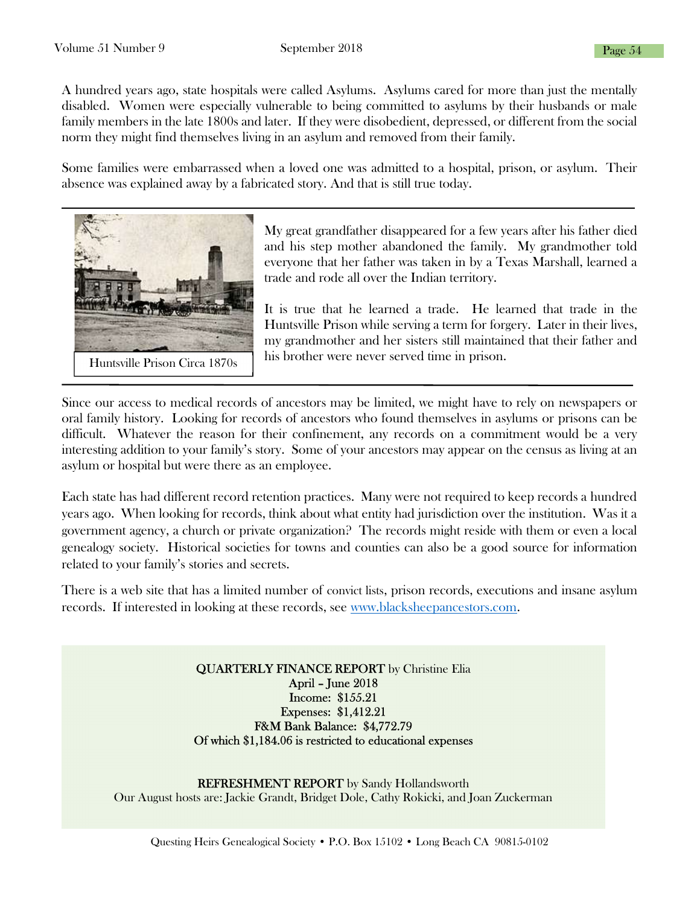A hundred years ago, state hospitals were called Asylums. Asylums cared for more than just the mentally disabled. Women were especially vulnerable to being committed to asylums by their husbands or male family members in the late 1800s and later. If they were disobedient, depressed, or different from the social norm they might find themselves living in an asylum and removed from their family.

Some families were embarrassed when a loved one was admitted to a hospital, prison, or asylum. Their absence was explained away by a fabricated story. And that is still true today.



My great grandfather disappeared for a few years after his father died and his step mother abandoned the family. My grandmother told everyone that her father was taken in by a Texas Marshall, learned a trade and rode all over the Indian territory.

It is true that he learned a trade. He learned that trade in the Huntsville Prison while serving a term for forgery. Later in their lives, my grandmother and her sisters still maintained that their father and his brother were never served time in prison.

Since our access to medical records of ancestors may be limited, we might have to rely on newspapers or oral family history. Looking for records of ancestors who found themselves in asylums or prisons can be difficult. Whatever the reason for their confinement, any records on a commitment would be a very interesting addition to your family's story. Some of your ancestors may appear on the census as living at an asylum or hospital but were there as an employee.

Each state has had different record retention practices. Many were not required to keep records a hundred years ago. When looking for records, think about what entity had jurisdiction over the institution. Was it a government agency, a church or private organization? The records might reside with them or even a local genealogy society. Historical societies for towns and counties can also be a good source for information related to your family's stories and secrets.

There is a web site that has a limited number of convict lists, prison records, executions and insane asylum records. If interested in looking at these records, see www.blacksheepancestors.com.

> QUARTERLY FINANCE REPORT by Christine Elia April – June 2018 Income: \$155.21 Expenses: \$1,412.21 F&M Bank Balance: \$4,772.79 Of which \$1,184.06 is restricted to educational expenses

REFRESHMENT REPORT by Sandy Hollandsworth Our August hosts are: Jackie Grandt, Bridget Dole, Cathy Rokicki, and Joan Zuckerman

Questing Heirs Genealogical Society • P.O. Box 15102 • Long Beach CA 90815-0102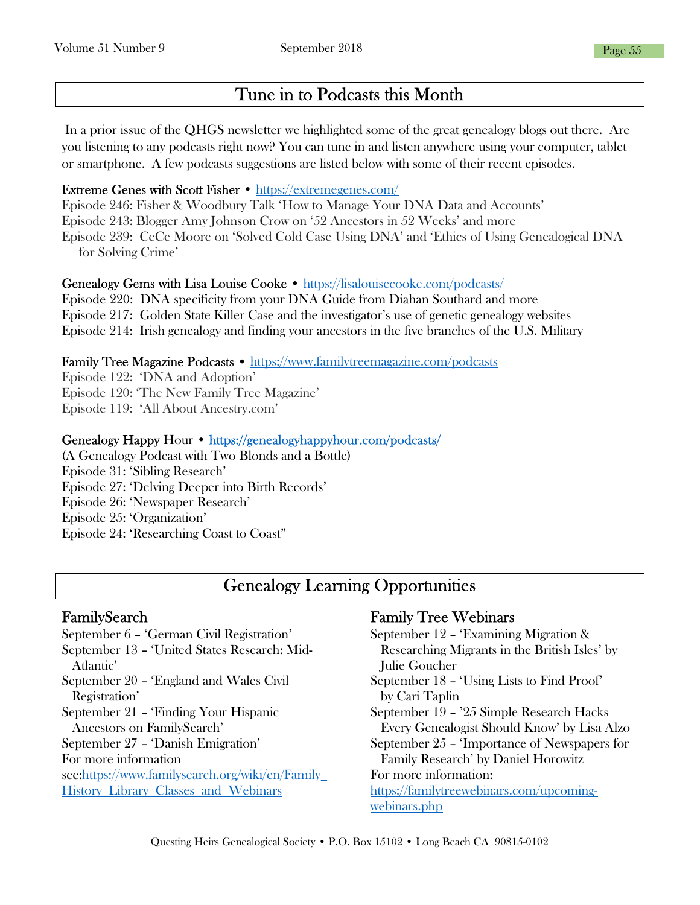# Tune in to Podcasts this Month

 In a prior issue of the QHGS newsletter we highlighted some of the great genealogy blogs out there. Are you listening to any podcasts right now? You can tune in and listen anywhere using your computer, tablet or smartphone. A few podcasts suggestions are listed below with some of their recent episodes.

#### Extreme Genes with Scott Fisher • https://extremegenes.com/

Episode 246: Fisher & Woodbury Talk 'How to Manage Your DNA Data and Accounts' Episode 243: Blogger Amy Johnson Crow on '52 Ancestors in 52 Weeks' and more Episode 239: CeCe Moore on 'Solved Cold Case Using DNA' and 'Ethics of Using Genealogical DNA for Solving Crime'

#### Genealogy Gems with Lisa Louise Cooke • https://lisalouisecooke.com/podcasts/

Episode 220: DNA specificity from your DNA Guide from Diahan Southard and more Episode 217: Golden State Killer Case and the investigator's use of genetic genealogy websites Episode 214: Irish genealogy and finding your ancestors in the five branches of the U.S. Military

#### Family Tree Magazine Podcasts • https://www.familytreemagazine.com/podcasts

Episode 122: 'DNA and Adoption' Episode 120: 'The New Family Tree Magazine' Episode 119: 'All About Ancestry.com'

#### Genealogy Happy Hour • https://genealogyhappyhour.com/podcasts/

(A Genealogy Podcast with Two Blonds and a Bottle) Episode 31: 'Sibling Research' Episode 27: 'Delving Deeper into Birth Records' Episode 26: 'Newspaper Research' Episode 25: 'Organization' Episode 24: 'Researching Coast to Coast"

# Genealogy Learning Opportunities

#### FamilySearch

September 6 – 'German Civil Registration' September 13 – 'United States Research: Mid- Atlantic' September 20 – 'England and Wales Civil Registration' September 21 – 'Finding Your Hispanic Ancestors on FamilySearch' September 27 – 'Danish Emigration' For more information see:https://www.familysearch.org/wiki/en/Family\_ History\_Library\_Classes\_and\_Webinars

#### Family Tree Webinars

September 12 – 'Examining Migration & Researching Migrants in the British Isles' by Julie Goucher September 18 – 'Using Lists to Find Proof' by Cari Taplin September 19 – '25 Simple Research Hacks Every Genealogist Should Know' by Lisa Alzo September 25 – 'Importance of Newspapers for Family Research' by Daniel Horowitz For more information: https://familytreewebinars.com/upcomingwebinars.php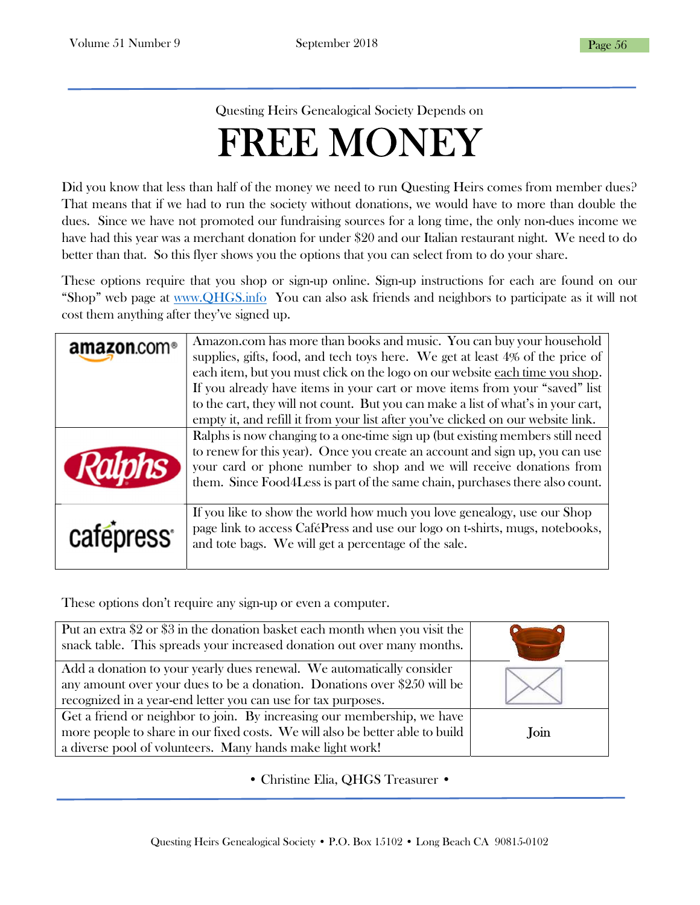Questing Heirs Genealogical Society Depends on

# FREE MONEY

Did you know that less than half of the money we need to run Questing Heirs comes from member dues? That means that if we had to run the society without donations, we would have to more than double the dues. Since we have not promoted our fundraising sources for a long time, the only non-dues income we have had this year was a merchant donation for under \$20 and our Italian restaurant night. We need to do better than that. So this flyer shows you the options that you can select from to do your share.

These options require that you shop or sign-up online. Sign-up instructions for each are found on our "Shop" web page at www.QHGS.info You can also ask friends and neighbors to participate as it will not cost them anything after they've signed up.

| amazon.com <sup>®</sup> | Amazon.com has more than books and music. You can buy your household<br>supplies, gifts, food, and tech toys here. We get at least 4% of the price of<br>each item, but you must click on the logo on our website each time you shop.<br>If you already have items in your cart or move items from your "saved" list<br>to the cart, they will not count. But you can make a list of what's in your cart,<br>empty it, and refill it from your list after you've clicked on our website link. |
|-------------------------|-----------------------------------------------------------------------------------------------------------------------------------------------------------------------------------------------------------------------------------------------------------------------------------------------------------------------------------------------------------------------------------------------------------------------------------------------------------------------------------------------|
| <b>Ralphs</b>           | Ralphs is now changing to a one-time sign up (but existing members still need<br>to renew for this year). Once you create an account and sign up, you can use<br>your card or phone number to shop and we will receive donations from<br>them. Since Food4Less is part of the same chain, purchases there also count.                                                                                                                                                                         |
| cafepress <sup>®</sup>  | If you like to show the world how much you love genealogy, use our Shop<br>page link to access CaféPress and use our logo on t-shirts, mugs, notebooks,<br>and tote bags. We will get a percentage of the sale.                                                                                                                                                                                                                                                                               |

These options don't require any sign-up or even a computer.

l

| Put an extra \$2 or \$3 in the donation basket each month when you visit the<br>snack table. This spreads your increased donation out over many months.                                                               |      |
|-----------------------------------------------------------------------------------------------------------------------------------------------------------------------------------------------------------------------|------|
| Add a donation to your yearly dues renewal. We automatically consider<br>any amount over your dues to be a donation. Donations over \$250 will be<br>recognized in a year-end letter you can use for tax purposes.    |      |
| Get a friend or neighbor to join. By increasing our membership, we have<br>more people to share in our fixed costs. We will also be better able to build<br>a diverse pool of volunteers. Many hands make light work! | Join |

• Christine Elia, QHGS Treasurer •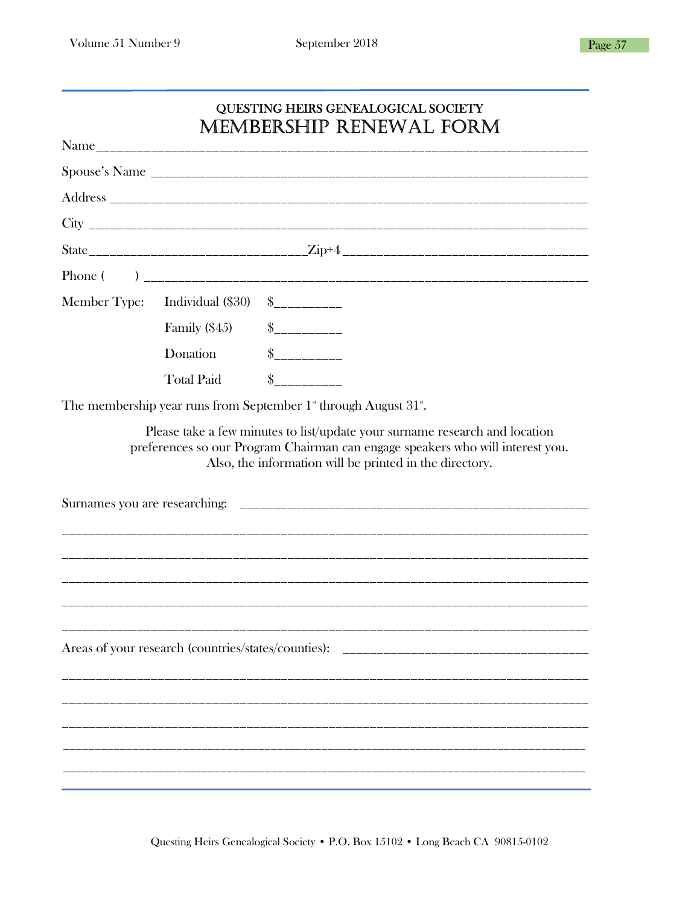| <b>QUESTING HEIRS GENEALOGICAL SOCIETY</b> |  |
|--------------------------------------------|--|
| <b>MEMBERSHIP RENEWAL FORM</b>             |  |

|                                                                                                                                                                                                                          | Member Type: Individual (\$30)                      | $S$ ___________                                                                         |  |  |
|--------------------------------------------------------------------------------------------------------------------------------------------------------------------------------------------------------------------------|-----------------------------------------------------|-----------------------------------------------------------------------------------------|--|--|
|                                                                                                                                                                                                                          | Family $(\$45)$                                     | $S$ ___________                                                                         |  |  |
|                                                                                                                                                                                                                          | Donation                                            | $S$ ___________                                                                         |  |  |
|                                                                                                                                                                                                                          | <b>Total Paid</b>                                   | $\sim$                                                                                  |  |  |
|                                                                                                                                                                                                                          |                                                     | The membership year runs from September 1 <sup>*</sup> through August 31 <sup>*</sup> . |  |  |
| Please take a few minutes to list/update your surname research and location<br>preferences so our Program Chairman can engage speakers who will interest you.<br>Also, the information will be printed in the directory. |                                                     |                                                                                         |  |  |
|                                                                                                                                                                                                                          |                                                     |                                                                                         |  |  |
|                                                                                                                                                                                                                          |                                                     |                                                                                         |  |  |
|                                                                                                                                                                                                                          |                                                     |                                                                                         |  |  |
|                                                                                                                                                                                                                          |                                                     |                                                                                         |  |  |
|                                                                                                                                                                                                                          |                                                     |                                                                                         |  |  |
|                                                                                                                                                                                                                          | Areas of your research (countries/states/counties): |                                                                                         |  |  |
|                                                                                                                                                                                                                          |                                                     |                                                                                         |  |  |
|                                                                                                                                                                                                                          |                                                     |                                                                                         |  |  |
|                                                                                                                                                                                                                          |                                                     |                                                                                         |  |  |
|                                                                                                                                                                                                                          |                                                     |                                                                                         |  |  |
|                                                                                                                                                                                                                          |                                                     |                                                                                         |  |  |

Questing Heirs Genealogical Society • P.O. Box 15102 • Long Beach CA 90815-0102